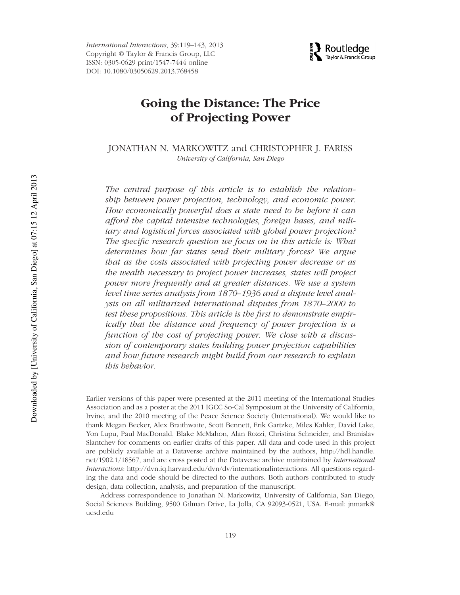*International Interactions*, 39:119–143, 2013 Copyright © Taylor & Francis Group, LLC ISSN: 0305-0629 print/1547-7444 online DOI: 10.1080/03050629.2013.768458



# **Going the Distance: The Price of Projecting Power**

JONATHAN N. MARKOWITZ and CHRISTOPHER J. FARISS *University of California, San Diego*

*The central purpose of this article is to establish the relationship between power projection, technology, and economic power. How economically powerful does a state need to be before it can afford the capital intensive technologies, foreign bases, and military and logistical forces associated with global power projection? The specific research question we focus on in this article is: What determines how far states send their military forces? We argue that as the costs associated with projecting power decrease or as the wealth necessary to project power increases, states will project power more frequently and at greater distances. We use a system level time series analysis from 1870–1936 and a dispute level analysis on all militarized international disputes from 1870–2000 to test these propositions. This article is the first to demonstrate empirically that the distance and frequency of power projection is a function of the cost of projecting power. We close with a discussion of contemporary states building power projection capabilities and how future research might build from our research to explain this behavior.*

Earlier versions of this paper were presented at the 2011 meeting of the International Studies Association and as a poster at the 2011 IGCC So-Cal Symposium at the University of California, Irvine, and the 2010 meeting of the Peace Science Society (International). We would like to thank Megan Becker, Alex Braithwaite, Scott Bennett, Erik Gartzke, Miles Kahler, David Lake, Yon Lupu, Paul MacDonald, Blake McMahon, Alan Rozzi, Christina Schneider, and Branislav Slantchev for comments on earlier drafts of this paper. All data and code used in this project are publicly available at a Dataverse archive maintained by the authors, http://hdl.handle. net/1902.1/18567, and are cross posted at the Dataverse archive maintained by *International Interactions*: http://dvn.iq.harvard.edu/dvn/dv/internationalinteractions. All questions regarding the data and code should be directed to the authors. Both authors contributed to study design, data collection, analysis, and preparation of the manuscript.

Address correspondence to Jonathan N. Markowitz, University of California, San Diego, Social Sciences Building, 9500 Gilman Drive, La Jolla, CA 92093-0521, USA. E-mail: jnmark@ ucsd.edu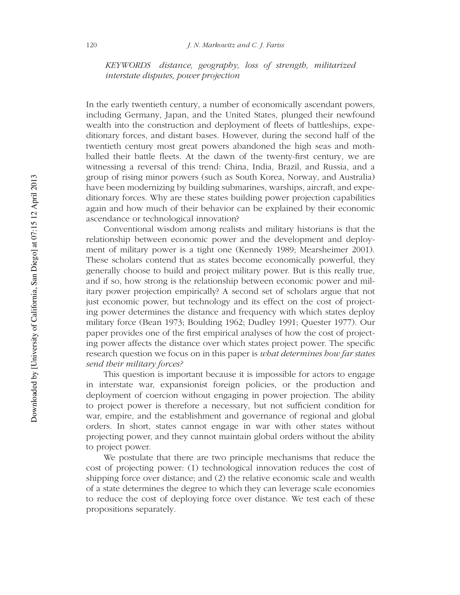*KEYWORDS distance, geography, loss of strength, militarized interstate disputes, power projection*

In the early twentieth century, a number of economically ascendant powers, including Germany, Japan, and the United States, plunged their newfound wealth into the construction and deployment of fleets of battleships, expeditionary forces, and distant bases. However, during the second half of the twentieth century most great powers abandoned the high seas and mothballed their battle fleets. At the dawn of the twenty-first century, we are witnessing a reversal of this trend: China, India, Brazil, and Russia, and a group of rising minor powers (such as South Korea, Norway, and Australia) have been modernizing by building submarines, warships, aircraft, and expeditionary forces. Why are these states building power projection capabilities again and how much of their behavior can be explained by their economic ascendance or technological innovation?

Conventional wisdom among realists and military historians is that the relationship between economic power and the development and deployment of military power is a tight one (Kennedy 1989; Mearsheimer 2001). These scholars contend that as states become economically powerful, they generally choose to build and project military power. But is this really true, and if so, how strong is the relationship between economic power and military power projection empirically? A second set of scholars argue that not just economic power, but technology and its effect on the cost of projecting power determines the distance and frequency with which states deploy military force (Bean 1973; Boulding 1962; Dudley 1991; Quester 1977). Our paper provides one of the first empirical analyses of how the cost of projecting power affects the distance over which states project power. The specific research question we focus on in this paper is *what determines how far states send their military forces?*

This question is important because it is impossible for actors to engage in interstate war, expansionist foreign policies, or the production and deployment of coercion without engaging in power projection. The ability to project power is therefore a necessary, but not sufficient condition for war, empire, and the establishment and governance of regional and global orders. In short, states cannot engage in war with other states without projecting power, and they cannot maintain global orders without the ability to project power.

We postulate that there are two principle mechanisms that reduce the cost of projecting power: (1) technological innovation reduces the cost of shipping force over distance; and (2) the relative economic scale and wealth of a state determines the degree to which they can leverage scale economies to reduce the cost of deploying force over distance. We test each of these propositions separately.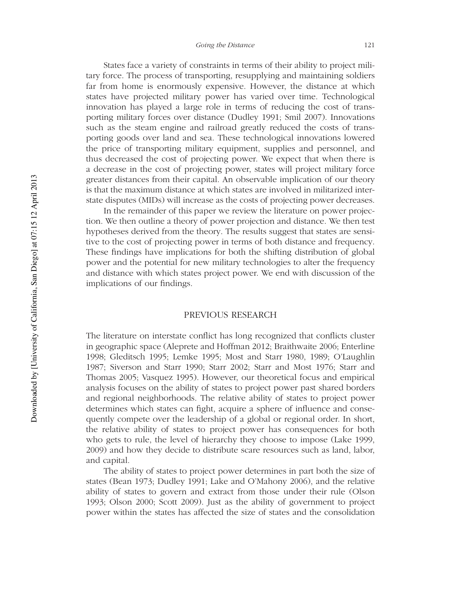#### *Going the Distance* 121

States face a variety of constraints in terms of their ability to project military force. The process of transporting, resupplying and maintaining soldiers far from home is enormously expensive. However, the distance at which states have projected military power has varied over time. Technological innovation has played a large role in terms of reducing the cost of transporting military forces over distance (Dudley 1991; Smil 2007). Innovations such as the steam engine and railroad greatly reduced the costs of transporting goods over land and sea. These technological innovations lowered the price of transporting military equipment, supplies and personnel, and thus decreased the cost of projecting power. We expect that when there is a decrease in the cost of projecting power, states will project military force greater distances from their capital. An observable implication of our theory is that the maximum distance at which states are involved in militarized interstate disputes (MIDs) will increase as the costs of projecting power decreases.

In the remainder of this paper we review the literature on power projection. We then outline a theory of power projection and distance. We then test hypotheses derived from the theory. The results suggest that states are sensitive to the cost of projecting power in terms of both distance and frequency. These findings have implications for both the shifting distribution of global power and the potential for new military technologies to alter the frequency and distance with which states project power. We end with discussion of the implications of our findings.

## PREVIOUS RESEARCH

The literature on interstate conflict has long recognized that conflicts cluster in geographic space (Aleprete and Hoffman 2012; Braithwaite 2006; Enterline 1998; Gleditsch 1995; Lemke 1995; Most and Starr 1980, 1989; O'Laughlin 1987; Siverson and Starr 1990; Starr 2002; Starr and Most 1976; Starr and Thomas 2005; Vasquez 1995). However, our theoretical focus and empirical analysis focuses on the ability of states to project power past shared borders and regional neighborhoods. The relative ability of states to project power determines which states can fight, acquire a sphere of influence and consequently compete over the leadership of a global or regional order. In short, the relative ability of states to project power has consequences for both who gets to rule, the level of hierarchy they choose to impose (Lake 1999, 2009) and how they decide to distribute scare resources such as land, labor, and capital.

The ability of states to project power determines in part both the size of states (Bean 1973; Dudley 1991; Lake and O'Mahony 2006), and the relative ability of states to govern and extract from those under their rule (Olson 1993; Olson 2000; Scott 2009). Just as the ability of government to project power within the states has affected the size of states and the consolidation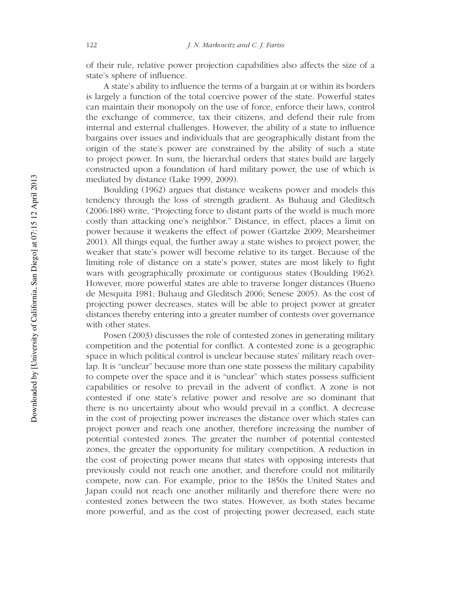of their rule, relative power projection capabilities also affects the size of a state's sphere of influence.

A state's ability to influence the terms of a bargain at or within its borders is largely a function of the total coercive power of the state. Powerful states can maintain their monopoly on the use of force, enforce their laws, control the exchange of commerce, tax their citizens, and defend their rule from internal and external challenges. However, the ability of a state to influence bargains over issues and individuals that are geographically distant from the origin of the state's power are constrained by the ability of such a state to project power. In sum, the hierarchal orders that states build are largely constructed upon a foundation of hard military power, the use of which is mediated by distance (Lake 1999, 2009).

Boulding (1962) argues that distance weakens power and models this tendency through the loss of strength gradient. As Buhaug and Gleditsch (2006:188) write, "Projecting force to distant parts of the world is much more costly than attacking one's neighbor." Distance, in effect, places a limit on power because it weakens the effect of power (Gartzke 2009; Mearsheimer 2001). All things equal, the further away a state wishes to project power, the weaker that state's power will become relative to its target. Because of the limiting role of distance on a state's power, states are most likely to fight wars with geographically proximate or contiguous states (Boulding 1962). However, more powerful states are able to traverse longer distances (Bueno de Mesquita 1981; Buhaug and Gleditsch 2006; Senese 2005). As the cost of projecting power decreases, states will be able to project power at greater distances thereby entering into a greater number of contests over governance with other states.

Posen (2003) discusses the role of contested zones in generating military competition and the potential for conflict. A contested zone is a geographic space in which political control is unclear because states' military reach overlap. It is "unclear" because more than one state possess the military capability to compete over the space and it is "unclear" which states possess sufficient capabilities or resolve to prevail in the advent of conflict. A zone is not contested if one state's relative power and resolve are so dominant that there is no uncertainty about who would prevail in a conflict. A decrease in the cost of projecting power increases the distance over which states can project power and reach one another, therefore increasing the number of potential contested zones. The greater the number of potential contested zones, the greater the opportunity for military competition. A reduction in the cost of projecting power means that states with opposing interests that previously could not reach one another, and therefore could not militarily compete, now can. For example, prior to the 1850s the United States and Japan could not reach one another militarily and therefore there were no contested zones between the two states. However, as both states became more powerful, and as the cost of projecting power decreased, each state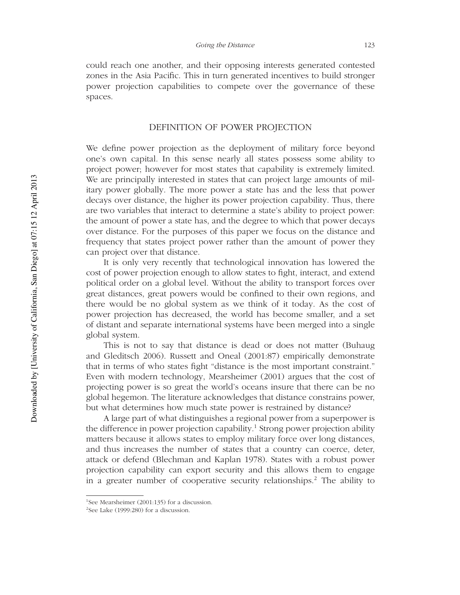could reach one another, and their opposing interests generated contested zones in the Asia Pacific. This in turn generated incentives to build stronger power projection capabilities to compete over the governance of these spaces.

#### DEFINITION OF POWER PROJECTION

We define power projection as the deployment of military force beyond one's own capital. In this sense nearly all states possess some ability to project power; however for most states that capability is extremely limited. We are principally interested in states that can project large amounts of military power globally. The more power a state has and the less that power decays over distance, the higher its power projection capability. Thus, there are two variables that interact to determine a state's ability to project power: the amount of power a state has, and the degree to which that power decays over distance. For the purposes of this paper we focus on the distance and frequency that states project power rather than the amount of power they can project over that distance.

It is only very recently that technological innovation has lowered the cost of power projection enough to allow states to fight, interact, and extend political order on a global level. Without the ability to transport forces over great distances, great powers would be confined to their own regions, and there would be no global system as we think of it today. As the cost of power projection has decreased, the world has become smaller, and a set of distant and separate international systems have been merged into a single global system.

This is not to say that distance is dead or does not matter (Buhaug and Gleditsch 2006). Russett and Oneal (2001:87) empirically demonstrate that in terms of who states fight "distance is the most important constraint." Even with modern technology, Mearsheimer (2001) argues that the cost of projecting power is so great the world's oceans insure that there can be no global hegemon. The literature acknowledges that distance constrains power, but what determines how much state power is restrained by distance?

A large part of what distinguishes a regional power from a superpower is the difference in power projection capability.<sup>1</sup> Strong power projection ability matters because it allows states to employ military force over long distances, and thus increases the number of states that a country can coerce, deter, attack or defend (Blechman and Kaplan 1978). States with a robust power projection capability can export security and this allows them to engage in a greater number of cooperative security relationships.<sup>2</sup> The ability to

<sup>1</sup>See Mearsheimer (2001:135) for a discussion.

<sup>&</sup>lt;sup>2</sup>See Lake (1999:280) for a discussion.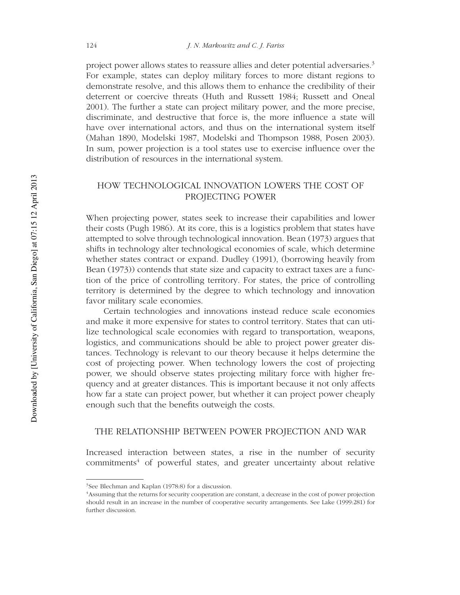project power allows states to reassure allies and deter potential adversaries.<sup>3</sup> For example, states can deploy military forces to more distant regions to demonstrate resolve, and this allows them to enhance the credibility of their deterrent or coercive threats (Huth and Russett 1984; Russett and Oneal 2001). The further a state can project military power, and the more precise, discriminate, and destructive that force is, the more influence a state will have over international actors, and thus on the international system itself (Mahan 1890, Modelski 1987, Modelski and Thompson 1988, Posen 2003). In sum, power projection is a tool states use to exercise influence over the distribution of resources in the international system.

# HOW TECHNOLOGICAL INNOVATION LOWERS THE COST OF PROJECTING POWER

When projecting power, states seek to increase their capabilities and lower their costs (Pugh 1986). At its core, this is a logistics problem that states have attempted to solve through technological innovation. Bean (1973) argues that shifts in technology alter technological economies of scale, which determine whether states contract or expand. Dudley (1991), (borrowing heavily from Bean (1973)) contends that state size and capacity to extract taxes are a function of the price of controlling territory. For states, the price of controlling territory is determined by the degree to which technology and innovation favor military scale economies.

Certain technologies and innovations instead reduce scale economies and make it more expensive for states to control territory. States that can utilize technological scale economies with regard to transportation, weapons, logistics, and communications should be able to project power greater distances. Technology is relevant to our theory because it helps determine the cost of projecting power. When technology lowers the cost of projecting power, we should observe states projecting military force with higher frequency and at greater distances. This is important because it not only affects how far a state can project power, but whether it can project power cheaply enough such that the benefits outweigh the costs.

## THE RELATIONSHIP BETWEEN POWER PROJECTION AND WAR

Increased interaction between states, a rise in the number of security  $commitments<sup>4</sup>$  of powerful states, and greater uncertainty about relative

<sup>3</sup>See Blechman and Kaplan (1978:8) for a discussion.

<sup>4</sup>Assuming that the returns for security cooperation are constant, a decrease in the cost of power projection should result in an increase in the number of cooperative security arrangements. See Lake (1999:281) for further discussion.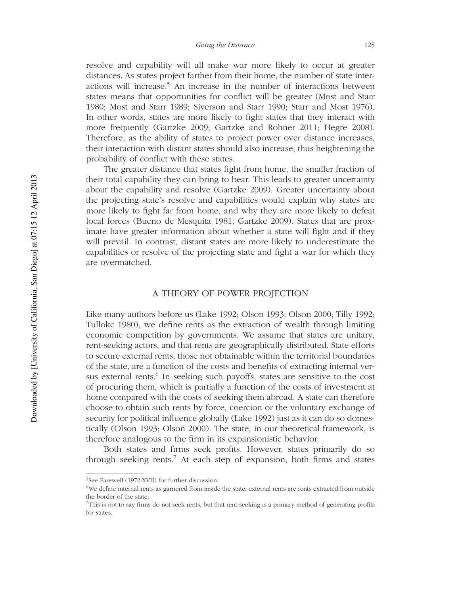resolve and capability will all make war more likely to occur at greater distances. As states project farther from their home, the number of state interactions will increase.<sup>5</sup> An increase in the number of interactions between states means that opportunities for conflict will be greater (Most and Starr 1980; Most and Starr 1989; Siverson and Starr 1990; Starr and Most 1976). In other words, states are more likely to fight states that they interact with more frequently (Gartzke 2009; Gartzke and Rohner 2011; Hegre 2008). Therefore, as the ability of states to project power over distance increases, their interaction with distant states should also increase, thus heightening the probability of conflict with these states.

The greater distance that states fight from home, the smaller fraction of their total capability they can bring to bear. This leads to greater uncertainty about the capability and resolve (Gartzke 2009). Greater uncertainty about the projecting state's resolve and capabilities would explain why states are more likely to fight far from home, and why they are more likely to defeat local forces (Bueno de Mesquita 1981; Gartzke 2009). States that are proximate have greater information about whether a state will fight and if they will prevail. In contrast, distant states are more likely to underestimate the capabilities or resolve of the projecting state and fight a war for which they are overmatched.

# A THEORY OF POWER PROJECTION

Like many authors before us (Lake 1992; Olson 1993; Olson 2000; Tilly 1992; Tullokc 1980), we define rents as the extraction of wealth through limiting economic competition by governments. We assume that states are unitary, rent-seeking actors, and that rents are geographically distributed. State efforts to secure external rents, those not obtainable within the territorial boundaries of the state, are a function of the costs and benefits of extracting internal versus external rents.<sup>6</sup> In seeking such payoffs, states are sensitive to the cost of procuring them, which is partially a function of the costs of investment at home compared with the costs of seeking them abroad. A state can therefore choose to obtain such rents by force, coercion or the voluntary exchange of security for political influence globally (Lake 1992) just as it can do so domestically (Olson 1993; Olson 2000). The state, in our theoretical framework, is therefore analogous to the firm in its expansionistic behavior.

Both states and firms seek profits. However, states primarily do so through seeking rents.7 At each step of expansion, both firms and states

<sup>&</sup>lt;sup>5</sup>See Farewell (1972:XVII) for further discussion.

<sup>6</sup>We define internal rents as garnered from inside the state; external rents are rents extracted from outside the border of the state.

<sup>7</sup>This is not to say firms do not seek rents, but that rent-seeking is a primary method of generating profits for states.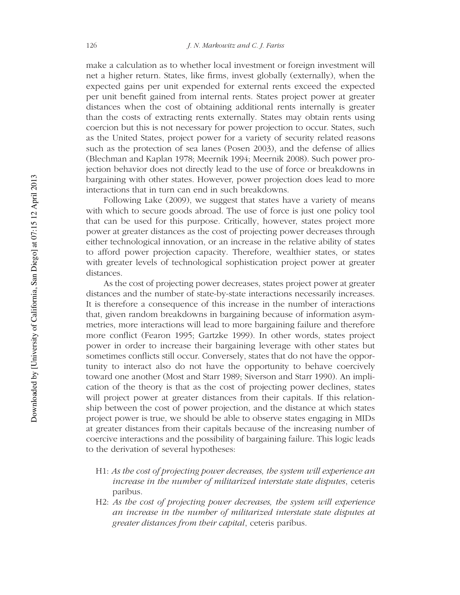make a calculation as to whether local investment or foreign investment will net a higher return. States, like firms, invest globally (externally), when the expected gains per unit expended for external rents exceed the expected per unit benefit gained from internal rents. States project power at greater distances when the cost of obtaining additional rents internally is greater than the costs of extracting rents externally. States may obtain rents using coercion but this is not necessary for power projection to occur. States, such as the United States, project power for a variety of security related reasons such as the protection of sea lanes (Posen 2003), and the defense of allies (Blechman and Kaplan 1978; Meernik 1994; Meernik 2008). Such power projection behavior does not directly lead to the use of force or breakdowns in bargaining with other states. However, power projection does lead to more interactions that in turn can end in such breakdowns.

Following Lake (2009), we suggest that states have a variety of means with which to secure goods abroad. The use of force is just one policy tool that can be used for this purpose. Critically, however, states project more power at greater distances as the cost of projecting power decreases through either technological innovation, or an increase in the relative ability of states to afford power projection capacity. Therefore, wealthier states, or states with greater levels of technological sophistication project power at greater distances.

As the cost of projecting power decreases, states project power at greater distances and the number of state-by-state interactions necessarily increases. It is therefore a consequence of this increase in the number of interactions that, given random breakdowns in bargaining because of information asymmetries, more interactions will lead to more bargaining failure and therefore more conflict (Fearon 1995; Gartzke 1999). In other words, states project power in order to increase their bargaining leverage with other states but sometimes conflicts still occur. Conversely, states that do not have the opportunity to interact also do not have the opportunity to behave coercively toward one another (Most and Starr 1989; Siverson and Starr 1990). An implication of the theory is that as the cost of projecting power declines, states will project power at greater distances from their capitals. If this relationship between the cost of power projection, and the distance at which states project power is true, we should be able to observe states engaging in MIDs at greater distances from their capitals because of the increasing number of coercive interactions and the possibility of bargaining failure. This logic leads to the derivation of several hypotheses:

- H1: *As the cost of projecting power decreases, the system will experience an increase in the number of militarized interstate state disputes*, ceteris paribus.
- H2: *As the cost of projecting power decreases, the system will experience an increase in the number of militarized interstate state disputes at greater distances from their capital*, ceteris paribus.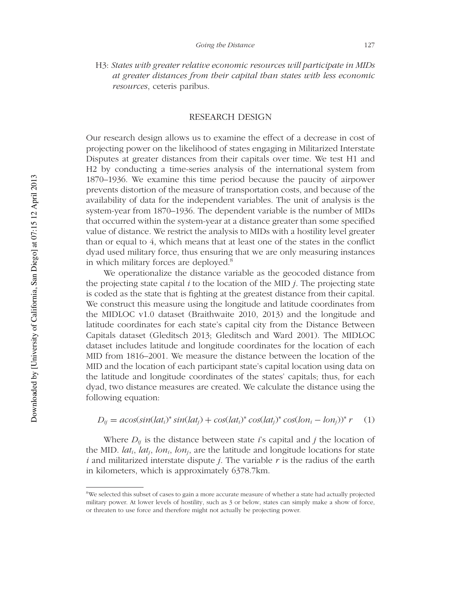H3: *States with greater relative economic resources will participate in MIDs at greater distances from their capital than states with less economic resources*, ceteris paribus.

## RESEARCH DESIGN

Our research design allows us to examine the effect of a decrease in cost of projecting power on the likelihood of states engaging in Militarized Interstate Disputes at greater distances from their capitals over time. We test H1 and H2 by conducting a time-series analysis of the international system from 1870–1936. We examine this time period because the paucity of airpower prevents distortion of the measure of transportation costs, and because of the availability of data for the independent variables. The unit of analysis is the system-year from 1870–1936. The dependent variable is the number of MIDs that occurred within the system-year at a distance greater than some specified value of distance. We restrict the analysis to MIDs with a hostility level greater than or equal to 4, which means that at least one of the states in the conflict dyad used military force, thus ensuring that we are only measuring instances in which military forces are deployed.<sup>8</sup>

We operationalize the distance variable as the geocoded distance from the projecting state capital *i* to the location of the MID *j*. The projecting state is coded as the state that is fighting at the greatest distance from their capital. We construct this measure using the longitude and latitude coordinates from the MIDLOC v1.0 dataset (Braithwaite 2010, 2013) and the longitude and latitude coordinates for each state's capital city from the Distance Between Capitals dataset (Gleditsch 2013; Gleditsch and Ward 2001). The MIDLOC dataset includes latitude and longitude coordinates for the location of each MID from 1816–2001. We measure the distance between the location of the MID and the location of each participant state's capital location using data on the latitude and longitude coordinates of the states' capitals; thus, for each dyad, two distance measures are created. We calculate the distance using the following equation:

$$
D_{ij} = a\cos(\sin(\theta t_i)^* \sin(\theta t_j) + \cos(\theta t_i)^* \cos(\theta t_j)^* \cos(\theta t_i - \theta t_j))^* r \quad (1)
$$

Where  $D_{ij}$  is the distance between state *i*'s capital and *j* the location of the MID.  $lat_i$ ,  $lat_i$ ,  $lon_i$ ,  $lon_j$ , are the latitude and longitude locations for state *i* and militarized interstate dispute *j*. The variable *r* is the radius of the earth in kilometers, which is approximately 6378.7km.

<sup>&</sup>lt;sup>8</sup>We selected this subset of cases to gain a more accurate measure of whether a state had actually projected military power. At lower levels of hostility, such as 3 or below, states can simply make a show of force, or threaten to use force and therefore might not actually be projecting power.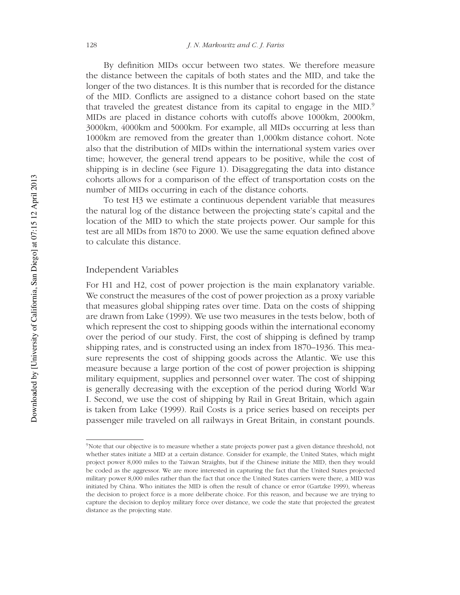By definition MIDs occur between two states. We therefore measure the distance between the capitals of both states and the MID, and take the longer of the two distances. It is this number that is recorded for the distance of the MID. Conflicts are assigned to a distance cohort based on the state that traveled the greatest distance from its capital to engage in the MID.9 MIDs are placed in distance cohorts with cutoffs above 1000km, 2000km, 3000km, 4000km and 5000km. For example, all MIDs occurring at less than 1000km are removed from the greater than 1,000km distance cohort. Note also that the distribution of MIDs within the international system varies over time; however, the general trend appears to be positive, while the cost of shipping is in decline (see Figure 1). Disaggregating the data into distance cohorts allows for a comparison of the effect of transportation costs on the number of MIDs occurring in each of the distance cohorts.

To test H3 we estimate a continuous dependent variable that measures the natural log of the distance between the projecting state's capital and the location of the MID to which the state projects power. Our sample for this test are all MIDs from 1870 to 2000. We use the same equation defined above to calculate this distance.

#### Independent Variables

For H1 and H2, cost of power projection is the main explanatory variable. We construct the measures of the cost of power projection as a proxy variable that measures global shipping rates over time. Data on the costs of shipping are drawn from Lake (1999). We use two measures in the tests below, both of which represent the cost to shipping goods within the international economy over the period of our study. First, the cost of shipping is defined by tramp shipping rates, and is constructed using an index from 1870–1936. This measure represents the cost of shipping goods across the Atlantic. We use this measure because a large portion of the cost of power projection is shipping military equipment, supplies and personnel over water. The cost of shipping is generally decreasing with the exception of the period during World War I. Second, we use the cost of shipping by Rail in Great Britain, which again is taken from Lake (1999). Rail Costs is a price series based on receipts per passenger mile traveled on all railways in Great Britain, in constant pounds.

<sup>9</sup>Note that our objective is to measure whether a state projects power past a given distance threshold, not whether states initiate a MID at a certain distance. Consider for example, the United States, which might project power 8,000 miles to the Taiwan Straights, but if the Chinese initiate the MID, then they would be coded as the aggressor. We are more interested in capturing the fact that the United States projected military power 8,000 miles rather than the fact that once the United States carriers were there, a MID was initiated by China. Who initiates the MID is often the result of chance or error (Gartzke 1999), whereas the decision to project force is a more deliberate choice. For this reason, and because we are trying to capture the decision to deploy military force over distance, we code the state that projected the greatest distance as the projecting state.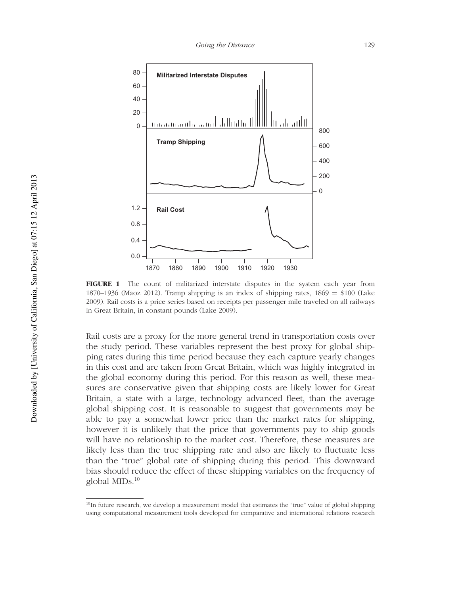

**FIGURE 1** The count of militarized interstate disputes in the system each year from 1870–1936 (Maoz 2012). Tramp shipping is an index of shipping rates,  $1869 = $100$  (Lake 2009). Rail costs is a price series based on receipts per passenger mile traveled on all railways in Great Britain, in constant pounds (Lake 2009).

Rail costs are a proxy for the more general trend in transportation costs over the study period. These variables represent the best proxy for global shipping rates during this time period because they each capture yearly changes in this cost and are taken from Great Britain, which was highly integrated in the global economy during this period. For this reason as well, these measures are conservative given that shipping costs are likely lower for Great Britain, a state with a large, technology advanced fleet, than the average global shipping cost. It is reasonable to suggest that governments may be able to pay a somewhat lower price than the market rates for shipping, however it is unlikely that the price that governments pay to ship goods will have no relationship to the market cost. Therefore, these measures are likely less than the true shipping rate and also are likely to fluctuate less than the "true" global rate of shipping during this period. This downward bias should reduce the effect of these shipping variables on the frequency of global MIDs.10

<sup>&</sup>lt;sup>10</sup>In future research, we develop a measurement model that estimates the "true" value of global shipping using computational measurement tools developed for comparative and international relations research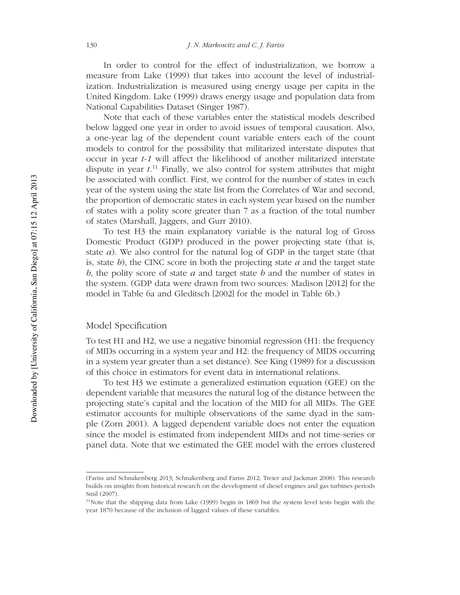In order to control for the effect of industrialization, we borrow a measure from Lake (1999) that takes into account the level of industrialization. Industrialization is measured using energy usage per capita in the United Kingdom. Lake (1999) draws energy usage and population data from National Capabilities Dataset (Singer 1987).

Note that each of these variables enter the statistical models described below lagged one year in order to avoid issues of temporal causation. Also, a one-year lag of the dependent count variable enters each of the count models to control for the possibility that militarized interstate disputes that occur in year *t-1* will affect the likelihood of another militarized interstate dispute in year  $t$ .<sup>11</sup> Finally, we also control for system attributes that might be associated with conflict. First, we control for the number of states in each year of the system using the state list from the Correlates of War and second, the proportion of democratic states in each system year based on the number of states with a polity score greater than 7 as a fraction of the total number of states (Marshall, Jaggers, and Gurr 2010).

To test H3 the main explanatory variable is the natural log of Gross Domestic Product (GDP) produced in the power projecting state (that is, state *a*). We also control for the natural log of GDP in the target state (that is, state *b*), the CINC score in both the projecting state *a* and the target state *b*, the polity score of state *a* and target state *b* and the number of states in the system. (GDP data were drawn from two sources: Madison [2012] for the model in Table 6a and Gleditsch [2002] for the model in Table 6b.)

## Model Specification

To test H1 and H2, we use a negative binomial regression (H1: the frequency of MIDs occurring in a system year and H2: the frequency of MIDS occurring in a system year greater than a set distance). See King (1989) for a discussion of this choice in estimators for event data in international relations.

To test H3 we estimate a generalized estimation equation (GEE) on the dependent variable that measures the natural log of the distance between the projecting state's capital and the location of the MID for all MIDs. The GEE estimator accounts for multiple observations of the same dyad in the sample (Zorn 2001). A lagged dependent variable does not enter the equation since the model is estimated from independent MIDs and not time-series or panel data. Note that we estimated the GEE model with the errors clustered

<sup>(</sup>Fariss and Schnakenberg 2013; Schnakenberg and Fariss 2012; Treier and Jackman 2008). This research builds on insights from historical research on the development of diesel engines and gas turbines periods Smil (2007).

<sup>&</sup>lt;sup>11</sup>Note that the shipping data from Lake (1999) begin in 1869 but the system level tests begin with the year 1870 because of the inclusion of lagged values of these variables.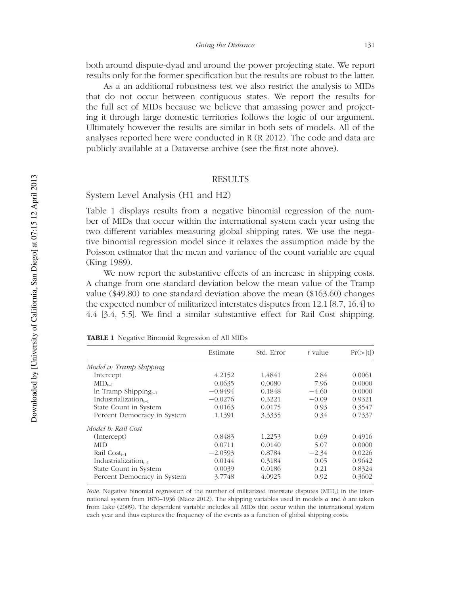both around dispute-dyad and around the power projecting state. We report results only for the former specification but the results are robust to the latter.

As a an additional robustness test we also restrict the analysis to MIDs that do not occur between contiguous states. We report the results for the full set of MIDs because we believe that amassing power and projecting it through large domestic territories follows the logic of our argument. Ultimately however the results are similar in both sets of models. All of the analyses reported here were conducted in R (R 2012). The code and data are publicly available at a Dataverse archive (see the first note above).

## RESULTS

## System Level Analysis (H1 and H2)

Table 1 displays results from a negative binomial regression of the number of MIDs that occur within the international system each year using the two different variables measuring global shipping rates. We use the negative binomial regression model since it relaxes the assumption made by the Poisson estimator that the mean and variance of the count variable are equal (King 1989).

We now report the substantive effects of an increase in shipping costs. A change from one standard deviation below the mean value of the Tramp value (\$49.80) to one standard deviation above the mean (\$163.60) changes the expected number of militarized interstates disputes from 12.1 [8.7, 16.4] to 4.4 [3.4, 5.5]. We find a similar substantive effect for Rail Cost shipping.

|                             | Estimate  | Std. Error | t value | Pr(> t ) |
|-----------------------------|-----------|------------|---------|----------|
| Model a: Tramp Shipping     |           |            |         |          |
| Intercept                   | 4.2152    | 1.4841     | 2.84    | 0.0061   |
| $MID_{t-1}$                 | 0.0635    | 0.0080     | 7.96    | 0.0000   |
| In Tramp Shipping $_{t-1}$  | $-0.8494$ | 0.1848     | $-4.60$ | 0.0000   |
| Industrialization $_{t-1}$  | $-0.0276$ | 0.3221     | $-0.09$ | 0.9321   |
| State Count in System       | 0.0163    | 0.0175     | 0.93    | 0.3547   |
| Percent Democracy in System | 1.1391    | 3.3335     | 0.34    | 0.7337   |
| Model b: Rail Cost          |           |            |         |          |
| (Intercept)                 | 0.8483    | 1.2253     | 0.69    | 0.4916   |
| <b>MID</b>                  | 0.0711    | 0.0140     | 5.07    | 0.0000   |
| Rail $Cost_{t-1}$           | $-2.0593$ | 0.8784     | $-2.34$ | 0.0226   |
| Industrialization $_{t-1}$  | 0.0144    | 0.3184     | 0.05    | 0.9642   |
| State Count in System       | 0.0039    | 0.0186     | 0.21    | 0.8324   |
| Percent Democracy in System | 3.7748    | 4.0925     | 0.92    | 0.3602   |

**TABLE 1** Negative Binomial Regression of All MIDs

*Note*. Negative binomial regression of the number of militarized interstate disputes (MID<sub>t</sub>) in the international system from 1870–1936 (Maoz 2012). The shipping variables used in models *a* and *b* are taken from Lake (2009). The dependent variable includes all MIDs that occur within the international system each year and thus captures the frequency of the events as a function of global shipping costs.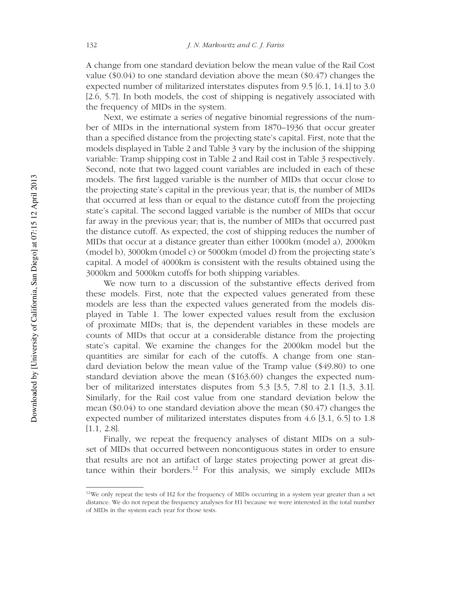A change from one standard deviation below the mean value of the Rail Cost value (\$0.04) to one standard deviation above the mean (\$0.47) changes the expected number of militarized interstates disputes from 9.5 [6.1, 14.1] to 3.0 [2.6, 5.7]. In both models, the cost of shipping is negatively associated with the frequency of MIDs in the system.

Next, we estimate a series of negative binomial regressions of the number of MIDs in the international system from 1870–1936 that occur greater than a specified distance from the projecting state's capital. First, note that the models displayed in Table 2 and Table 3 vary by the inclusion of the shipping variable: Tramp shipping cost in Table 2 and Rail cost in Table 3 respectively. Second, note that two lagged count variables are included in each of these models. The first lagged variable is the number of MIDs that occur close to the projecting state's capital in the previous year; that is, the number of MIDs that occurred at less than or equal to the distance cutoff from the projecting state's capital. The second lagged variable is the number of MIDs that occur far away in the previous year; that is, the number of MIDs that occurred past the distance cutoff. As expected, the cost of shipping reduces the number of MIDs that occur at a distance greater than either 1000km (model a), 2000km (model b), 3000km (model c) or 5000km (model d) from the projecting state's capital. A model of 4000km is consistent with the results obtained using the 3000km and 5000km cutoffs for both shipping variables.

We now turn to a discussion of the substantive effects derived from these models. First, note that the expected values generated from these models are less than the expected values generated from the models displayed in Table 1. The lower expected values result from the exclusion of proximate MIDs; that is, the dependent variables in these models are counts of MIDs that occur at a considerable distance from the projecting state's capital. We examine the changes for the 2000km model but the quantities are similar for each of the cutoffs. A change from one standard deviation below the mean value of the Tramp value (\$49.80) to one standard deviation above the mean (\$163.60) changes the expected number of militarized interstates disputes from 5.3 [3.5, 7.8] to 2.1 [1.3, 3.1]. Similarly, for the Rail cost value from one standard deviation below the mean (\$0.04) to one standard deviation above the mean (\$0.47) changes the expected number of militarized interstates disputes from 4.6 [3.1, 6.5] to 1.8 [1.1, 2.8].

Finally, we repeat the frequency analyses of distant MIDs on a subset of MIDs that occurred between noncontiguous states in order to ensure that results are not an artifact of large states projecting power at great distance within their borders.<sup>12</sup> For this analysis, we simply exclude MIDs

 $12$ We only repeat the tests of H2 for the frequency of MIDs occurring in a system year greater than a set distance. We do not repeat the frequency analyses for H1 because we were interested in the total number of MIDs in the system each year for those tests.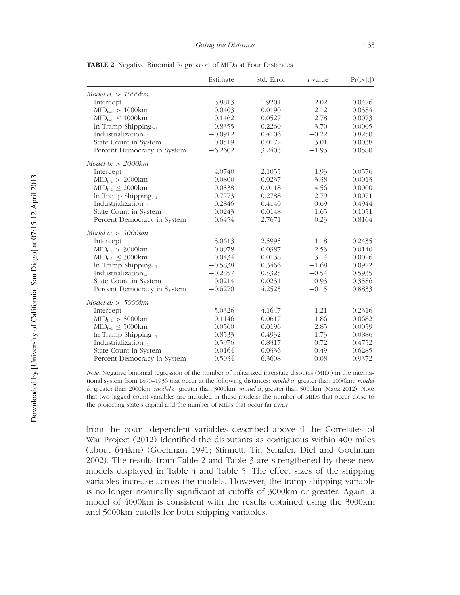|                                 | Estimate  | Std. Error | t value | Pr(> t ) |
|---------------------------------|-----------|------------|---------|----------|
| Model a: > 1000km               |           |            |         |          |
| Intercept                       | 3.8813    | 1.9201     | 2.02    | 0.0476   |
| $MID_{t-1} > 1000km$            | 0.0403    | 0.0190     | 2.12    | 0.0384   |
| $MID_{t-1} \leq 1000 \text{km}$ | 0.1462    | 0.0527     | 2.78    | 0.0073   |
| In Tramp Shipping $_{t-1}$      | $-0.8355$ | 0.2260     | $-3.70$ | 0.0005   |
| Industrialization $_{t-1}$      | $-0.0912$ | 0.4106     | $-0.22$ | 0.8250   |
| State Count in System           | 0.0519    | 0.0172     | 3.01    | 0.0038   |
| Percent Democracy in System     | $-6.2602$ | 3.2403     | $-1.93$ | 0.0580   |
| Model b: > 2000km               |           |            |         |          |
| Intercept                       | 4.0740    | 2.1055     | 1.93    | 0.0576   |
| $MID_{t-1} > 2000 \text{km}$    | 0.0800    | 0.0237     | 3.38    | 0.0013   |
| $MID_{t-1} \leq 2000km$         | 0.0538    | 0.0118     | 4.56    | 0.0000   |
| In Tramp Shipping $_{t-1}$      | $-0.7773$ | 0.2788     | $-2.79$ | 0.0071   |
| Industrialization $_{t-1}$      | $-0.2846$ | 0.4140     | $-0.69$ | 0.4944   |
| State Count in System           | 0.0243    | 0.0148     | 1.65    | 0.1051   |
| Percent Democracy in System     | $-0.6454$ | 2.7671     | $-0.23$ | 0.8164   |
| Model c: > 3000km               |           |            |         |          |
| Intercept                       | 3.0613    | 2.5995     | 1.18    | 0.2435   |
| $MID_{t-1} > 3000km$            | 0.0978    | 0.0387     | 2.53    | 0.0140   |
| $MID_{t-1} \leq 3000 \text{km}$ | 0.0434    | 0.0138     | 3.14    | 0.0026   |
| In Tramp Shipping $_{t-1}$      | $-0.5838$ | 0.3466     | $-1.68$ | 0.0972   |
| Industrialization $_{t-1}$      | $-0.2857$ | 0.5325     | $-0.54$ | 0.5935   |
| State Count in System           | 0.0214    | 0.0231     | 0.93    | 0.3586   |
| Percent Democracy in System     | $-0.6270$ | 4.2523     | $-0.15$ | 0.8833   |
| Model d: > 5000km               |           |            |         |          |
| Intercept                       | 5.0326    | 4.1647     | 1.21    | 0.2316   |
| $MID_{t-1} > 5000 \text{km}$    | 0.1146    | 0.0617     | 1.86    | 0.0682   |
| $MID_{t-1} \leq 5000km$         | 0.0560    | 0.0196     | 2.85    | 0.0059   |
| In Tramp Shipping $_{t-1}$      | $-0.8533$ | 0.4932     | $-1.73$ | 0.0886   |
| Industrialization $_{t-1}$      | $-0.5976$ | 0.8317     | $-0.72$ | 0.4752   |
| State Count in System           | 0.0164    | 0.0336     | 0.49    | 0.6285   |
| Percent Democracy in System     | 0.5034    | 6.3608     | 0.08    | 0.9372   |
|                                 |           |            |         |          |

**TABLE 2** Negative Binomial Regression of MIDs at Four Distances

*Note*. Negative binomial regression of the number of militarized interstate disputes (MID<sub>t</sub>) in the international system from 1870–1936 that occur at the following distances: *model a*, greater than 1000km; *model b*, greater than 2000km; *model c*, greater than 3000km; *model d*, greater than 5000km (Maoz 2012). Note that two lagged count variables are included in these models: the number of MIDs that occur close to the projecting state's capital and the number of MIDs that occur far away.

from the count dependent variables described above if the Correlates of War Project (2012) identified the disputants as contiguous within 400 miles (about 644km) (Gochman 1991; Stinnett, Tir, Schafer, Diel and Gochman 2002). The results from Table 2 and Table 3 are strengthened by these new models displayed in Table 4 and Table 5. The effect sizes of the shipping variables increase across the models. However, the tramp shipping variable is no longer nominally significant at cutoffs of 3000km or greater. Again, a model of 4000km is consistent with the results obtained using the 3000km and 5000km cutoffs for both shipping variables.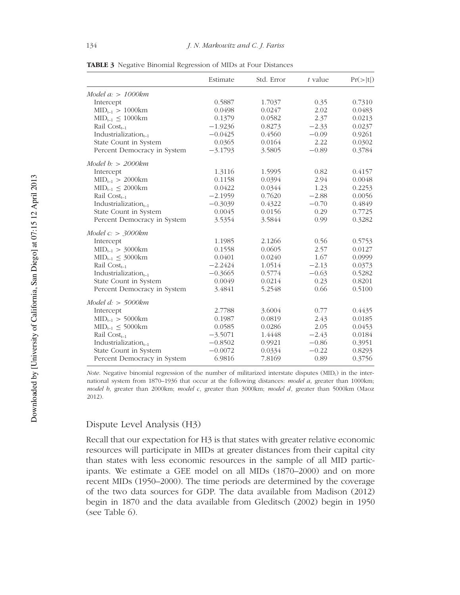**TABLE 3** Negative Binomial Regression of MIDs at Four Distances

|                                 | Estimate  | Std. Error | t value | Pr(> t ) |
|---------------------------------|-----------|------------|---------|----------|
| Model $a_i > 1000$ km           |           |            |         |          |
| Intercept                       | 0.5887    | 1.7037     | 0.35    | 0.7310   |
| $MID_{t-1} > 1000km$            | 0.0498    | 0.0247     | 2.02    | 0.0483   |
| $MID_{t-1} \leq 1000 \text{km}$ | 0.1379    | 0.0582     | 2.37    | 0.0213   |
| Rail $Cost_{t-1}$               | $-1.9236$ | 0.8273     | $-2.33$ | 0.0237   |
| Industrialization $_{t-1}$      | $-0.0425$ | 0.4560     | $-0.09$ | 0.9261   |
| State Count in System           | 0.0365    | 0.0164     | 2.22    | 0.0302   |
| Percent Democracy in System     | $-3.1793$ | 3.5805     | $-0.89$ | 0.3784   |
| Model $b:>2000$ km              |           |            |         |          |
| Intercept                       | 1.3116    | 1.5995     | 0.82    | 0.4157   |
| $MID_{t-1} > 2000km$            | 0.1158    | 0.0394     | 2.94    | 0.0048   |
| $MID_{t-1} \leq 2000 \text{km}$ | 0.0422    | 0.0344     | 1.23    | 0.2253   |
| Rail $Cost_{t-1}$               | $-2.1959$ | 0.7620     | $-2.88$ | 0.0056   |
| Industrialization $_{t-1}$      | $-0.3039$ | 0.4322     | $-0.70$ | 0.4849   |
| State Count in System           | 0.0045    | 0.0156     | 0.29    | 0.7725   |
| Percent Democracy in System     | 3.5354    | 3.5844     | 0.99    | 0.3282   |
| Model $c$ : > 3000km            |           |            |         |          |
| Intercept                       | 1.1985    | 2.1266     | 0.56    | 0.5753   |
| $MID_{t-1} > 3000 \text{km}$    | 0.1558    | 0.0605     | 2.57    | 0.0127   |
| $MID_{t-1} \leq 3000 \text{km}$ | 0.0401    | 0.0240     | 1.67    | 0.0999   |
| Rail $Cost_{t-1}$               | $-2.2424$ | 1.0514     | $-2.13$ | 0.0373   |
| Industrialization $_{t-1}$      | $-0.3665$ | 0.5774     | $-0.63$ | 0.5282   |
| State Count in System           | 0.0049    | 0.0214     | 0.23    | 0.8201   |
| Percent Democracy in System     | 3.4841    | 5.2548     | 0.66    | 0.5100   |
| Model $d_i > 5000$ km           |           |            |         |          |
| Intercept                       | 2.7788    | 3.6004     | 0.77    | 0.4435   |
| $MID_{t-1} > 5000km$            | 0.1987    | 0.0819     | 2.43    | 0.0185   |
| $MID_{t-1} \leq 5000km$         | 0.0585    | 0.0286     | 2.05    | 0.0453   |
| Rail $Cost_{t-1}$               | $-3.5071$ | 1.4448     | $-2.43$ | 0.0184   |
| Industrialization $_{t-1}$      | $-0.8502$ | 0.9921     | $-0.86$ | 0.3951   |
| State Count in System           | $-0.0072$ | 0.0334     | $-0.22$ | 0.8293   |
| Percent Democracy in System     | 6.9816    | 7.8169     | 0.89    | 0.3756   |

*Note*. Negative binomial regression of the number of militarized interstate disputes (MID<sub>t</sub>) in the international system from 1870–1936 that occur at the following distances: *model a*, greater than 1000km; *model b*, greater than 2000km; *model c*, greater than 3000km; *model d*, greater than 5000km (Maoz 2012).

# Dispute Level Analysis (H3)

Recall that our expectation for H3 is that states with greater relative economic resources will participate in MIDs at greater distances from their capital city than states with less economic resources in the sample of all MID participants. We estimate a GEE model on all MIDs (1870–2000) and on more recent MIDs (1950–2000). The time periods are determined by the coverage of the two data sources for GDP. The data available from Madison (2012) begin in 1870 and the data available from Gleditsch (2002) begin in 1950 (see Table 6).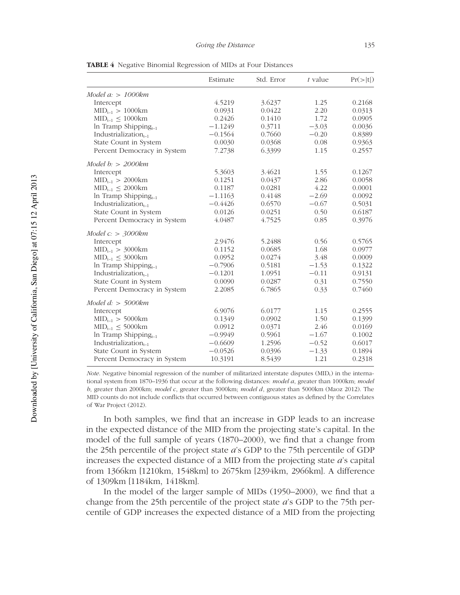| TABLE 4 Negative Binomial Regression of MIDs at Four Distances |  |  |  |  |  |  |  |
|----------------------------------------------------------------|--|--|--|--|--|--|--|
|----------------------------------------------------------------|--|--|--|--|--|--|--|

|                                 | Estimate  | Std. Error | t value | Pr(> t ) |
|---------------------------------|-----------|------------|---------|----------|
| Model $a_i > 1000$ km           |           |            |         |          |
| Intercept                       | 4.5219    | 3.6237     | 1.25    | 0.2168   |
| $MID_{t-1} > 1000 \text{km}$    | 0.0931    | 0.0422     | 2.20    | 0.0313   |
| $MID_{t-1} \leq 1000 \text{km}$ | 0.2426    | 0.1410     | 1.72    | 0.0905   |
| In Tramp Shipping $_{t-1}$      | $-1.1249$ | 0.3711     | $-3.03$ | 0.0036   |
| Industrialization $_{t-1}$      | $-0.1564$ | 0.7660     | $-0.20$ | 0.8389   |
| State Count in System           | 0.0030    | 0.0368     | 0.08    | 0.9363   |
| Percent Democracy in System     | 7.2738    | 6.3399     | 1.15    | 0.2557   |
| Model $b:> 2000$ km             |           |            |         |          |
| Intercept                       | 5.3603    | 3.4621     | 1.55    | 0.1267   |
| $MID_{t-1} > 2000km$            | 0.1251    | 0.0437     | 2.86    | 0.0058   |
| $MID_{t-1} \leq 2000 \text{km}$ | 0.1187    | 0.0281     | 4.22    | 0.0001   |
| In Tramp Shipping $_{t-1}$      | $-1.1163$ | 0.4148     | $-2.69$ | 0.0092   |
| Industrialization $_{t-1}$      | $-0.4426$ | 0.6570     | $-0.67$ | 0.5031   |
| State Count in System           | 0.0126    | 0.0251     | 0.50    | 0.6187   |
| Percent Democracy in System     | 4.0487    | 4.7525     | 0.85    | 0.3976   |
| Model $c$ : > 3000km            |           |            |         |          |
| Intercept                       | 2.9476    | 5.2488     | 0.56    | 0.5765   |
| $MID_{t-1} > 3000km$            | 0.1152    | 0.0685     | 1.68    | 0.0977   |
| $MID_{t-1} \leq 3000 \text{km}$ | 0.0952    | 0.0274     | 3.48    | 0.0009   |
| In Tramp Shipping $_{t-1}$      | $-0.7906$ | 0.5181     | $-1.53$ | 0.1322   |
| Industrialization $_{t-1}$      | $-0.1201$ | 1.0951     | $-0.11$ | 0.9131   |
| State Count in System           | 0.0090    | 0.0287     | 0.31    | 0.7550   |
| Percent Democracy in System     | 2.2085    | 6.7865     | 0.33    | 0.7460   |
| Model $d_i > 5000$ km           |           |            |         |          |
| Intercept                       | 6.9076    | 6.0177     | 1.15    | 0.2555   |
| $MID_{t-1} > 5000km$            | 0.1349    | 0.0902     | 1.50    | 0.1399   |
| $MID_{t-1} \leq 5000 \text{km}$ | 0.0912    | 0.0371     | 2.46    | 0.0169   |
| In Tramp Shipping $_{t-1}$      | $-0.9949$ | 0.5961     | $-1.67$ | 0.1002   |
| Industrialization $_{t-1}$      | $-0.6609$ | 1.2596     | $-0.52$ | 0.6017   |
| State Count in System           | $-0.0526$ | 0.0396     | $-1.33$ | 0.1894   |
| Percent Democracy in System     | 10.3191   | 8.5439     | 1.21    | 0.2318   |

*Note*. Negative binomial regression of the number of militarized interstate disputes (MID<sub>t</sub>) in the international system from 1870–1936 that occur at the following distances: *model a*, greater than 1000km; *model b*, greater than 2000km; *model c*, greater than 3000km; *model d*, greater than 5000km (Maoz 2012). The MID counts do not include conflicts that occurred between contiguous states as defined by the Correlates of War Project (2012).

In both samples, we find that an increase in GDP leads to an increase in the expected distance of the MID from the projecting state's capital. In the model of the full sample of years (1870–2000), we find that a change from the 25th percentile of the project state *a*'s GDP to the 75th percentile of GDP increases the expected distance of a MID from the projecting state *a*'s capital from 1366km [1210km, 1548km] to 2675km [2394km, 2966km]. A difference of 1309km [1184km, 1418km].

In the model of the larger sample of MIDs (1950–2000), we find that a change from the 25th percentile of the project state *a*'s GDP to the 75th percentile of GDP increases the expected distance of a MID from the projecting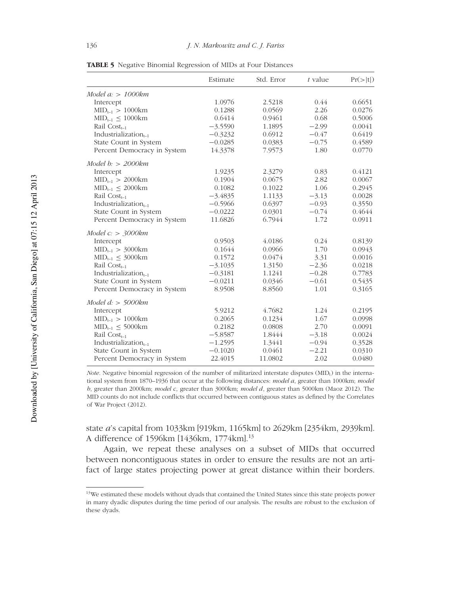**TABLE 5** Negative Binomial Regression of MIDs at Four Distances

|                                 | Estimate  | Std. Error | t value | Pr(> t ) |
|---------------------------------|-----------|------------|---------|----------|
| Model $a_i > 1000$ km           |           |            |         |          |
| Intercept                       | 1.0976    | 2.5218     | 0.44    | 0.6651   |
| $MID_{t-1} > 1000 \text{km}$    | 0.1288    | 0.0569     | 2.26    | 0.0276   |
| $MID_{t-1} \leq 1000 \text{km}$ | 0.6414    | 0.9461     | 0.68    | 0.5006   |
| Rail $Cost_{t-1}$               | $-3.5590$ | 1.1895     | $-2.99$ | 0.0041   |
| Industrialization $_{t-1}$      | $-0.3232$ | 0.6912     | $-0.47$ | 0.6419   |
| State Count in System           | $-0.0285$ | 0.0383     | $-0.75$ | 0.4589   |
| Percent Democracy in System     | 14.3378   | 7.9573     | 1.80    | 0.0770   |
| Model $b:>2000$ km              |           |            |         |          |
| Intercept                       | 1.9235    | 2.3279     | 0.83    | 0.4121   |
| $MID_{t-1} > 2000 \text{km}$    | 0.1904    | 0.0675     | 2.82    | 0.0067   |
| $MID_{t-1} \leq 2000 \text{km}$ | 0.1082    | 0.1022     | 1.06    | 0.2945   |
| Rail $Cost_{t-1}$               | $-3.4835$ | 1.1133     | $-3.13$ | 0.0028   |
| Industrialization $_{t-1}$      | $-0.5966$ | 0.6397     | $-0.93$ | 0.3550   |
| State Count in System           | $-0.0222$ | 0.0301     | $-0.74$ | 0.4644   |
| Percent Democracy in System     | 11.6826   | 6.7944     | 1.72    | 0.0911   |
| Model $c$ : > 3000km            |           |            |         |          |
| Intercept                       | 0.9503    | 4.0186     | 0.24    | 0.8139   |
| $MID_{t-1} > 3000 \text{km}$    | 0.1644    | 0.0966     | 1.70    | 0.0943   |
| $MID_{t-1} \leq 3000 \text{km}$ | 0.1572    | 0.0474     | 3.31    | 0.0016   |
| Rail $Cost_{t-1}$               | $-3.1035$ | 1.3150     | $-2.36$ | 0.0218   |
| Industrialization $_{t-1}$      | $-0.3181$ | 1.1241     | $-0.28$ | 0.7783   |
| State Count in System           | $-0.0211$ | 0.0346     | $-0.61$ | 0.5435   |
| Percent Democracy in System     | 8.9508    | 8.8560     | 1.01    | 0.3165   |
| Model $d$ : > 5000km            |           |            |         |          |
| Intercept                       | 5.9212    | 4.7682     | 1.24    | 0.2195   |
| $MID_{t-1} > 1000km$            | 0.2065    | 0.1234     | 1.67    | 0.0998   |
| $MID_{t-1} \leq 5000 \text{km}$ | 0.2182    | 0.0808     | 2.70    | 0.0091   |
| Rail $Cost_{t-1}$               | $-5.8587$ | 1.8444     | $-3.18$ | 0.0024   |
| Industrialization $_{t-1}$      | $-1.2595$ | 1.3441     | $-0.94$ | 0.3528   |
| State Count in System           | $-0.1020$ | 0.0461     | $-2.21$ | 0.0310   |
| Percent Democracy in System     | 22.4015   | 11.0802    | 2.02    | 0.0480   |
|                                 |           |            |         |          |

*Note*. Negative binomial regression of the number of militarized interstate disputes (MID<sub>t</sub>) in the international system from 1870–1936 that occur at the following distances: *model a*, greater than 1000km; *model b*, greater than 2000km; *model c*, greater than 3000km; *model d*, greater than 5000km (Maoz 2012). The MID counts do not include conflicts that occurred between contiguous states as defined by the Correlates of War Project (2012).

state *a*'s capital from 1033km [919km, 1165km] to 2629km [2354km, 2939km]. A difference of 1596km [1436km, 1774km].<sup>13</sup>

Again, we repeat these analyses on a subset of MIDs that occurred between noncontiguous states in order to ensure the results are not an artifact of large states projecting power at great distance within their borders.

<sup>&</sup>lt;sup>13</sup>We estimated these models without dyads that contained the United States since this state projects power in many dyadic disputes during the time period of our analysis. The results are robust to the exclusion of these dyads.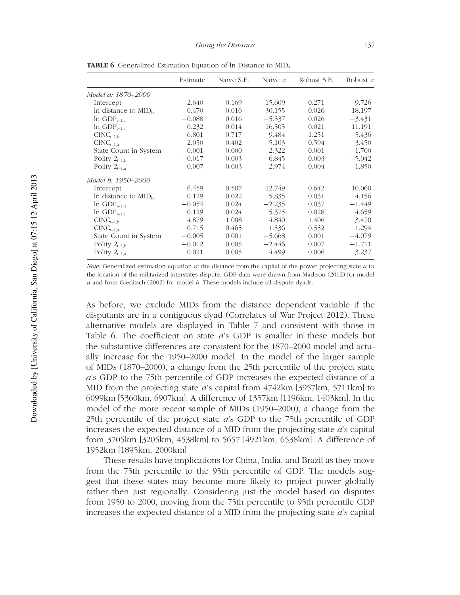|                           | Estimate | Naive S.E. | Naive z  | Robust S.E. | Robust $z$ |
|---------------------------|----------|------------|----------|-------------|------------|
| Model a: 1870–2000        |          |            |          |             |            |
| Intercept                 | 2.640    | 0.169      | 15.609   | 0.271       | 9.726      |
| In distance to $MIDb$     | 0.470    | 0.016      | 30.155   | 0.026       | 18.197     |
| $ln$ GDP <sub>t-1,a</sub> | $-0.088$ | 0.016      | $-5.537$ | 0.026       | $-3.431$   |
| $ln GDP_{t-1,a}$          | 0.232    | 0.014      | 16.505   | 0.021       | 11.191     |
| $CINC_{t-1,b}$            | 6.801    | 0.717      | 9.484    | 1.251       | 5.436      |
| $CINC_{t-1,a}$            | 2.050    | 0.402      | 5.103    | 0.594       | 3.450      |
| State Count in System     | $-0.001$ | 0.000      | $-2.322$ | 0.001       | $-1.700$   |
| Polity $2_{t-1,b}$        | $-0.017$ | 0.003      | $-6.845$ | 0.003       | $-5.042$   |
| Polity $2_{t-1,a}$        | 0.007    | 0.003      | 2.974    | 0.004       | 1.850      |
| Model b: 1950–2000        |          |            |          |             |            |
| Intercept                 | 6.459    | 0.507      | 12.749   | 0.642       | 10.060     |
| In distance to $MDb$      | 0.129    | 0.022      | 5.835    | 0.031       | 4.156      |
| $ln$ GDP <sub>t-1,b</sub> | $-0.054$ | 0.024      | $-2.235$ | 0.037       | $-1.449$   |
| $ln GDP_{t-1,a}$          | 0.129    | 0.024      | 5.375    | 0.028       | 4.659      |
| $CINC_{t-1,b}$            | 4.879    | 1.008      | 4.840    | 1.406       | 3.470      |
| $CINC_{t-1,a}$            | 0.715    | 0.465      | 1.536    | 0.552       | 1.294      |
| State Count in System     | $-0.005$ | 0.001      | $-5.668$ | 0.001       | $-4.079$   |
| Polity $2_{t-1,b}$        | $-0.012$ | 0.005      | $-2.446$ | 0.007       | $-1.711$   |
| Polity $2_{t-1,a}$        | 0.021    | 0.005      | 4.499    | 0.006       | 3.237      |

**TABLE 6** Generalized Estimation Equation of ln Distance to MIDa

*Note*. Generalized estimation equation of the distance from the capital of the power projecting state *a* to the location of the militarized interstates dispute. GDP data were drawn from Madison (2012) for model *a* and from Gleditsch (2002) for model *b*. These models include all dispute dyads.

As before, we exclude MIDs from the distance dependent variable if the disputants are in a contiguous dyad (Correlates of War Project 2012). These alternative models are displayed in Table 7 and consistent with those in Table 6. The coefficient on state *a*'s GDP is smaller in these models but the substantive differences are consistent for the 1870–2000 model and actually increase for the 1950–2000 model. In the model of the larger sample of MIDs (1870–2000), a change from the 25th percentile of the project state *a*'s GDP to the 75th percentile of GDP increases the expected distance of a MID from the projecting state *a*'s capital from 4742km [3957km, 5711km] to 6099km [5360km, 6907km]. A difference of 1357km [1196km, 1403km]. In the model of the more recent sample of MIDs (1950–2000), a change from the 25th percentile of the project state *a*'s GDP to the 75th percentile of GDP increases the expected distance of a MID from the projecting state *a*'s capital from 3705km [3205km, 4538km] to 5657 [4921km, 6538km]. A difference of 1952km [1895km, 2000km]

These results have implications for China, India, and Brazil as they move from the 75th percentile to the 95th percentile of GDP. The models suggest that these states may become more likely to project power globally rather then just regionally. Considering just the model based on disputes from 1950 to 2000, moving from the 75th percentile to 95th percentile GDP increases the expected distance of a MID from the projecting state *a*'s capital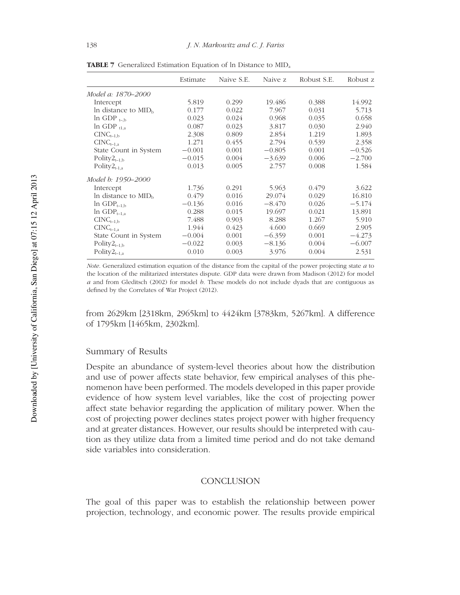|                                 | Estimate | Naive S.E. | Naive z  | Robust S.E. | Robust z |
|---------------------------------|----------|------------|----------|-------------|----------|
| Model a: 1870–2000              |          |            |          |             |          |
| Intercept                       | 5.819    | 0.299      | 19.486   | 0.388       | 14.992   |
| In distance to MID <sub>b</sub> | 0.177    | 0.022      | 7.967    | 0.031       | 5.713    |
| $\ln$ GDP $_{t=, b}$            | 0.023    | 0.024      | 0.968    | 0.035       | 0.658    |
| $ln$ GDP $_{t1,a}$              | 0.087    | 0.023      | 3.817    | 0.030       | 2.940    |
| $CINC_{t-1,b}$                  | 2.308    | 0.809      | 2.854    | 1.219       | 1.893    |
| $CINC_{t-1,a}$                  | 1.271    | 0.455      | 2.794    | 0.539       | 2.358    |
| State Count in System           | $-0.001$ | 0.001      | $-0.805$ | 0.001       | $-0.526$ |
| Polity $2_{t-1,b}$              | $-0.015$ | 0.004      | $-3.639$ | 0.006       | $-2.700$ |
| $Polity2_{t-1,a}$               | 0.013    | 0.005      | 2.757    | 0.008       | 1.584    |
| Model b: 1950–2000              |          |            |          |             |          |
| Intercept                       | 1.736    | 0.291      | 5.963    | 0.479       | 3.622    |
| In distance to $MIDb$           | 0.479    | 0.016      | 29.074   | 0.029       | 16.810   |
| $ln$ GDP <sub>t-1,b</sub>       | $-0.136$ | 0.016      | $-8.470$ | 0.026       | $-5.174$ |
| $ln$ GDP <sub>t-1,a</sub>       | 0.288    | 0.015      | 19.697   | 0.021       | 13.891   |
| $CINC_{t-1,b}$                  | 7.488    | 0.903      | 8.288    | 1.267       | 5.910    |
| $CINC_{t-1,a}$                  | 1.944    | 0.423      | 4.600    | 0.669       | 2.905    |
| State Count in System           | $-0.004$ | 0.001      | $-6.359$ | 0.001       | $-4.273$ |
| $\text{Poly2}_{t-1,b}$          | $-0.022$ | 0.003      | $-8.136$ | 0.004       | $-6.007$ |
| $Polity2_{t-1,a}$               | 0.010    | 0.003      | 3.976    | 0.004       | 2.531    |

**TABLE 7** Generalized Estimation Equation of ln Distance to MID<sub>a</sub>

*Note*. Generalized estimation equation of the distance from the capital of the power projecting state *a* to the location of the militarized interstates dispute. GDP data were drawn from Madison (2012) for model *a* and from Gleditsch (2002) for model *b*. These models do not include dyads that are contiguous as defined by the Correlates of War Project (2012).

from 2629km [2318km, 2965km] to 4424km [3783km, 5267km]. A difference of 1795km [1465km, 2302km].

## Summary of Results

Despite an abundance of system-level theories about how the distribution and use of power affects state behavior, few empirical analyses of this phenomenon have been performed. The models developed in this paper provide evidence of how system level variables, like the cost of projecting power affect state behavior regarding the application of military power. When the cost of projecting power declines states project power with higher frequency and at greater distances. However, our results should be interpreted with caution as they utilize data from a limited time period and do not take demand side variables into consideration.

## **CONCLUSION**

The goal of this paper was to establish the relationship between power projection, technology, and economic power. The results provide empirical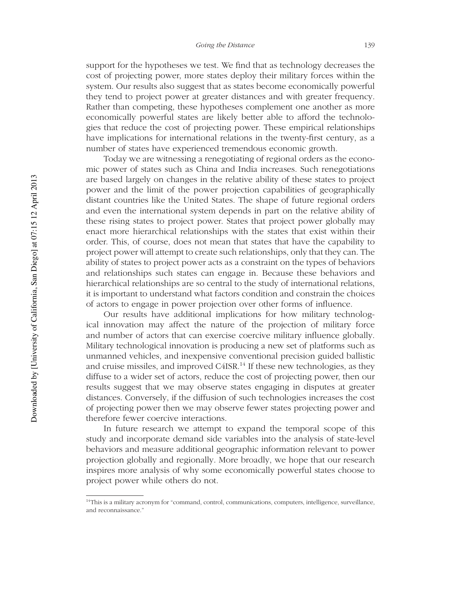support for the hypotheses we test. We find that as technology decreases the cost of projecting power, more states deploy their military forces within the system. Our results also suggest that as states become economically powerful they tend to project power at greater distances and with greater frequency. Rather than competing, these hypotheses complement one another as more economically powerful states are likely better able to afford the technologies that reduce the cost of projecting power. These empirical relationships have implications for international relations in the twenty-first century, as a number of states have experienced tremendous economic growth.

Today we are witnessing a renegotiating of regional orders as the economic power of states such as China and India increases. Such renegotiations are based largely on changes in the relative ability of these states to project power and the limit of the power projection capabilities of geographically distant countries like the United States. The shape of future regional orders and even the international system depends in part on the relative ability of these rising states to project power. States that project power globally may enact more hierarchical relationships with the states that exist within their order. This, of course, does not mean that states that have the capability to project power will attempt to create such relationships, only that they can. The ability of states to project power acts as a constraint on the types of behaviors and relationships such states can engage in. Because these behaviors and hierarchical relationships are so central to the study of international relations, it is important to understand what factors condition and constrain the choices of actors to engage in power projection over other forms of influence.

Our results have additional implications for how military technological innovation may affect the nature of the projection of military force and number of actors that can exercise coercive military influence globally. Military technological innovation is producing a new set of platforms such as unmanned vehicles, and inexpensive conventional precision guided ballistic and cruise missiles, and improved C4ISR.<sup>14</sup> If these new technologies, as they diffuse to a wider set of actors, reduce the cost of projecting power, then our results suggest that we may observe states engaging in disputes at greater distances. Conversely, if the diffusion of such technologies increases the cost of projecting power then we may observe fewer states projecting power and therefore fewer coercive interactions.

In future research we attempt to expand the temporal scope of this study and incorporate demand side variables into the analysis of state-level behaviors and measure additional geographic information relevant to power projection globally and regionally. More broadly, we hope that our research inspires more analysis of why some economically powerful states choose to project power while others do not.

<sup>&</sup>lt;sup>14</sup>This is a military acronym for "command, control, communications, computers, intelligence, surveillance, and reconnaissance."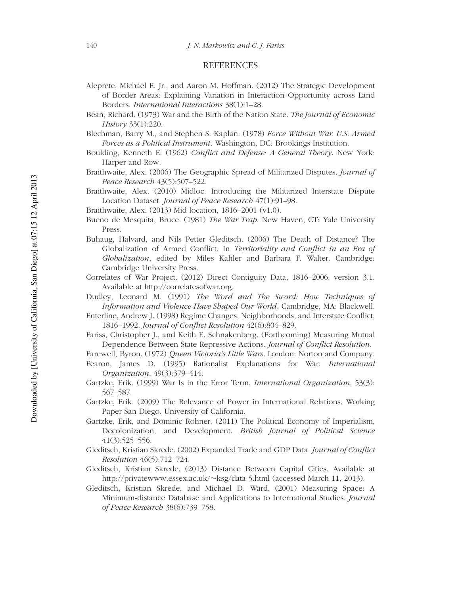#### REFERENCES

- Aleprete, Michael E. Jr., and Aaron M. Hoffman. (2012) The Strategic Development of Border Areas: Explaining Variation in Interaction Opportunity across Land Borders. *International Interactions* 38(1):1–28.
- Bean, Richard. (1973) War and the Birth of the Nation State. *The Journal of Economic History* 33(1):220.
- Blechman, Barry M., and Stephen S. Kaplan. (1978) *Force Without War. U.S. Armed Forces as a Political Instrument*. Washington, DC: Brookings Institution.
- Boulding, Kenneth E. (1962) *Conflict and Defense: A General Theory*. New York: Harper and Row.
- Braithwaite, Alex. (2006) The Geographic Spread of Militarized Disputes. *Journal of Peace Research* 43(5):507–522.
- Braithwaite, Alex. (2010) Midloc: Introducing the Militarized Interstate Dispute Location Dataset. *Journal of Peace Research* 47(1):91–98.
- Braithwaite, Alex. (2013) Mid location, 1816–2001 (v1.0).
- Bueno de Mesquita, Bruce. (1981) *The War Trap*. New Haven, CT: Yale University Press.
- Buhaug, Halvard, and Nils Petter Gleditsch. (2006) The Death of Distance? The Globalization of Armed Conflict. In *Territoriality and Conflict in an Era of Globalization*, edited by Miles Kahler and Barbara F. Walter. Cambridge: Cambridge University Press.
- Correlates of War Project. (2012) Direct Contiguity Data, 1816–2006. version 3.1. Available at http://correlatesofwar.org.
- Dudley, Leonard M. (1991) *The Word and The Sword: How Techniques of Information and Violence Have Shaped Our World*. Cambridge, MA: Blackwell.
- Enterline, Andrew J. (1998) Regime Changes, Neighborhoods, and Interstate Conflict, 1816–1992. *Journal of Conflict Resolution* 42(6):804–829.
- Fariss, Christopher J., and Keith E. Schnakenberg. (Forthcoming) Measuring Mutual Dependence Between State Repressive Actions. *Journal of Conflict Resolution*.
- Farewell, Byron. (1972) *Queen Victoria's Little Wars*. London: Norton and Company.
- Fearon, James D. (1995) Rationalist Explanations for War. *International Organization*, 49(3):379–414.
- Gartzke, Erik. (1999) War Is in the Error Term. *International Organization*, 53(3): 567–587.
- Gartzke, Erik. (2009) The Relevance of Power in International Relations. Working Paper San Diego. University of California.
- Gartzke, Erik, and Dominic Rohner. (2011) The Political Economy of Imperialism, Decolonization, and Development. *British Journal of Political Science* 41(3):525–556.
- Gleditsch, Kristian Skrede. (2002) Expanded Trade and GDP Data. *Journal of Conflict Resolution* 46(5):712–724.
- Gleditsch, Kristian Skrede. (2013) Distance Between Capital Cities. Available at http://privatewww.essex.ac.uk/∼ksg/data-5.html (accessed March 11, 2013).
- Gleditsch, Kristian Skrede, and Michael D. Ward. (2001) Measuring Space: A Minimum-distance Database and Applications to International Studies. *Journal of Peace Research* 38(6):739–758.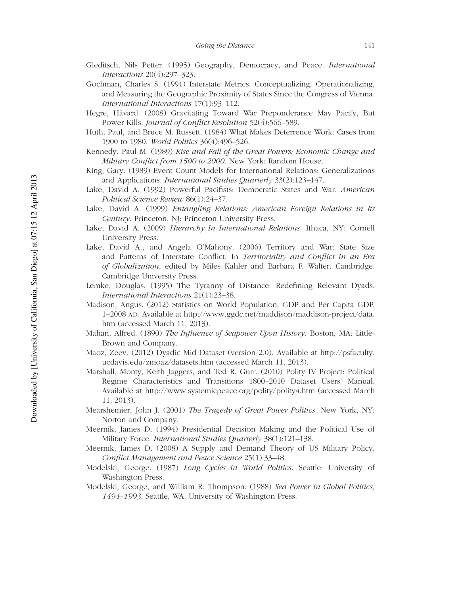- Gleditsch, Nils Petter. (1995) Geography, Democracy, and Peace. *International Interactions* 20(4):297–323.
- Gochman, Charles S. (1991) Interstate Metrics: Conceptualizing, Operationalizing, and Measuring the Geographic Proximity of States Since the Congress of Vienna. *International Interactions* 17(1):93–112.
- Hegre, Håvard. (2008) Gravitating Toward War Preponderance May Pacify, But Power Kills. *Journal of Conflict Resolution* 52(4):566–589.
- Huth, Paul, and Bruce M. Russett. (1984) What Makes Deterrence Work: Cases from 1900 to 1980. *World Politics* 36(4):496–526.
- Kennedy, Paul M. (1989) *Rise and Fall of the Great Powers: Economic Change and Military Conflict from 1500 to 2000*. New York: Random House.
- King, Gary. (1989) Event Count Models for International Relations: Generalizations and Applications. *International Studies Quarterly* 33(2):123–147.
- Lake, David A. (1992) Powerful Pacifists: Democratic States and War. *American Political Science Review* 86(1):24–37.
- Lake, David A. (1999) *Entangling Relations: American Foreign Relations in Its Century*. Princeton, NJ: Princeton University Press.
- Lake, David A. (2009) *Hierarchy In International Relations*. Ithaca, NY: Cornell University Press.
- Lake, David A., and Angela O'Mahony. (2006) Territory and War: State Size and Patterns of Interstate Conflict. In *Territoriality and Conflict in an Era of Globalization*, edited by Miles Kahler and Barbara F. Walter. Cambridge: Cambridge University Press.
- Lemke, Douglas. (1995) The Tyranny of Distance: Redefining Relevant Dyads. *International Interactions* 21(1):23–38.
- Madison, Angus. (2012) Statistics on World Population, GDP and Per Capita GDP, 1–2008 AD. Available at http://www.ggdc.net/maddison/maddison-project/data. htm (accessed March 11, 2013).
- Mahan, Alfred. (1890) *The Influence of Seapower Upon History*. Boston, MA: Little-Brown and Company.
- Maoz, Zeev. (2012) Dyadic Mid Dataset (version 2.0). Available at http://psfaculty. ucdavis.edu/zmoaz/datasets.htm (accessed March 11, 2013).
- Marshall, Monty, Keith Jaggers, and Ted R. Gurr. (2010) Polity IV Project: Political Regime Characteristics and Transitions 1800–2010 Dataset Users' Manual. Available at http://www.systemicpeace.org/polity/polity4.htm (accessed March 11, 2013).
- Mearshemier, John J. (2001) *The Tragedy of Great Power Politics*. New York, NY: Norton and Company.
- Meernik, James D. (1994) Presidential Decision Making and the Political Use of Military Force. *International Studies Quarterly* 38(1):121–138.
- Meernik, James D. (2008) A Supply and Demand Theory of US Military Policy. *Conflict Management and Peace Science* 25(1):33–48.
- Modelski, George. (1987) *Long Cycles in World Politics*. Seattle: University of Washington Press.
- Modelski, George, and William R. Thompson. (1988) *Sea Power in Global Politics, 1494–1993*. Seattle, WA: University of Washington Press.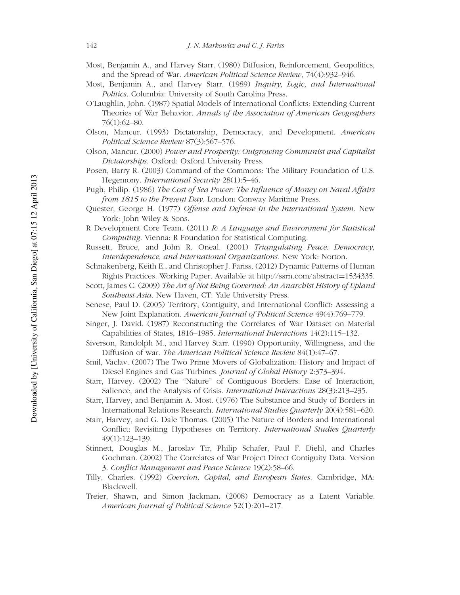- Most, Benjamin A., and Harvey Starr. (1980) Diffusion, Reinforcement, Geopolitics, and the Spread of War. *American Political Science Review*, 74(4):932–946.
- Most, Benjamin A., and Harvey Starr. (1989) *Inquiry, Logic, and International Politics*. Columbia: University of South Carolina Press.
- O'Laughlin, John. (1987) Spatial Models of International Conflicts: Extending Current Theories of War Behavior. *Annals of the Association of American Geographers* 76(1):62–80.
- Olson, Mancur. (1993) Dictatorship, Democracy, and Development. *American Political Science Review* 87(3):567–576.
- Olson, Mancur. (2000) *Power and Prosperity: Outgrowing Communist and Capitalist Dictatorships*. Oxford: Oxford University Press.
- Posen, Barry R. (2003) Command of the Commons: The Military Foundation of U.S. Hegemony. *International Security* 28(1):5–46.
- Pugh, Philip. (1986) *The Cost of Sea Power: The Influence of Money on Naval Affairs from 1815 to the Present Day*. London: Conway Maritime Press.
- Quester, George H. (1977) *Offense and Defense in the International System*. New York: John Wiley & Sons.
- R Development Core Team. (2011) *R: A Language and Environment for Statistical Computing*. Vienna: R Foundation for Statistical Computing.
- Russett, Bruce, and John R. Oneal. (2001) *Triangulating Peace: Democracy, Interdependence, and International Organizations*. New York: Norton.
- Schnakenberg, Keith E., and Christopher J. Fariss. (2012) Dynamic Patterns of Human Rights Practices. Working Paper. Available at http://ssrn.com/abstract=1534335.
- Scott, James C. (2009) *The Art of Not Being Governed: An Anarchist History of Upland Southeast Asia*. New Haven, CT: Yale University Press.
- Senese, Paul D. (2005) Territory, Contiguity, and International Conflict: Assessing a New Joint Explanation. *American Journal of Political Science* 49(4):769–779.
- Singer, J. David. (1987) Reconstructing the Correlates of War Dataset on Material Capabilities of States, 1816–1985. *International Interactions* 14(2):115–132.
- Siverson, Randolph M., and Harvey Starr. (1990) Opportunity, Willingness, and the Diffusion of war. *The American Political Science Review* 84(1):47–67.
- Smil, Vaclav. (2007) The Two Prime Movers of Globalization: History and Impact of Diesel Engines and Gas Turbines. *Journal of Global History* 2:373–394.
- Starr, Harvey. (2002) The "Nature" of Contiguous Borders: Ease of Interaction, Salience, and the Analysis of Crisis. *International Interactions* 28(3):213–235.
- Starr, Harvey, and Benjamin A. Most. (1976) The Substance and Study of Borders in International Relations Research. *International Studies Quarterly* 20(4):581–620.
- Starr, Harvey, and G. Dale Thomas. (2005) The Nature of Borders and International Conflict: Revisiting Hypotheses on Territory. *International Studies Quarterly* 49(1):123–139.
- Stinnett, Douglas M., Jaroslav Tir, Philip Schafer, Paul F. Diehl, and Charles Gochman. (2002) The Correlates of War Project Direct Contiguity Data. Version 3. *Conflict Management and Peace Science* 19(2):58–66.
- Tilly, Charles. (1992) *Coercion, Capital, and European States*. Cambridge, MA: Blackwell.
- Treier, Shawn, and Simon Jackman. (2008) Democracy as a Latent Variable. *American Journal of Political Science* 52(1):201–217.